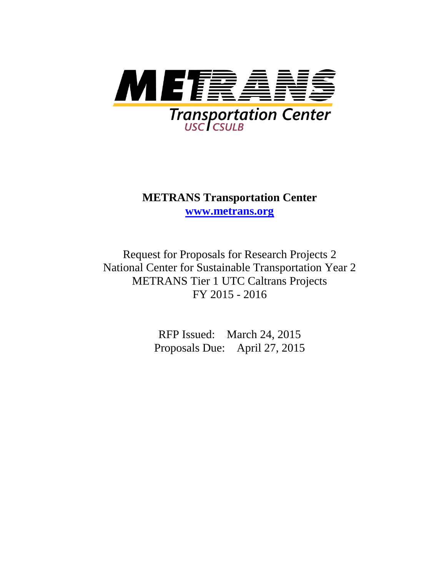

**METRANS Transportation Center [www.metrans.org](http://www.metrans.org/)**

Request for Proposals for Research Projects 2 National Center for Sustainable Transportation Year 2 METRANS Tier 1 UTC Caltrans Projects FY 2015 - 2016

> RFP Issued: March 24, 2015 Proposals Due: April 27, 2015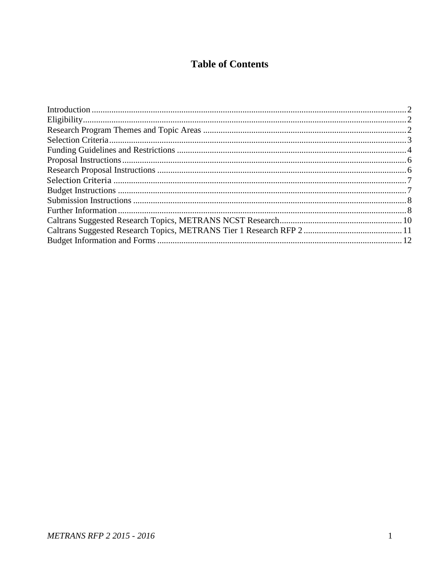## **Table of Contents**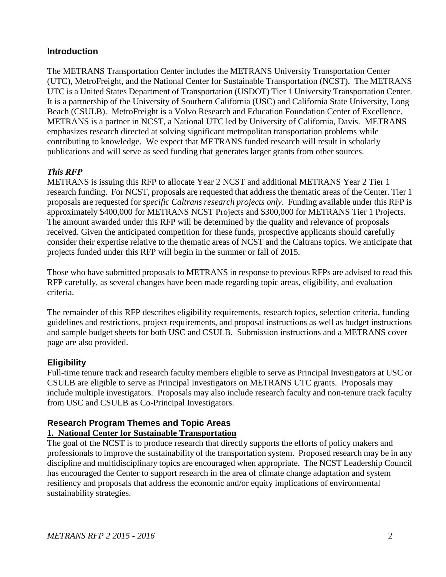#### <span id="page-2-0"></span>**Introduction**

The METRANS Transportation Center includes the METRANS University Transportation Center (UTC), MetroFreight, and the National Center for Sustainable Transportation (NCST). The METRANS UTC is a United States Department of Transportation (USDOT) Tier 1 University Transportation Center. It is a partnership of the University of Southern California (USC) and California State University, Long Beach (CSULB). MetroFreight is a Volvo Research and Education Foundation Center of Excellence. METRANS is a partner in NCST, a National UTC led by University of California, Davis. METRANS emphasizes research directed at solving significant metropolitan transportation problems while contributing to knowledge. We expect that METRANS funded research will result in scholarly publications and will serve as seed funding that generates larger grants from other sources.

#### *This RFP*

METRANS is issuing this RFP to allocate Year 2 NCST and additional METRANS Year 2 Tier 1 research funding. For NCST, proposals are requested that address the thematic areas of the Center. Tier 1 proposals are requested for *specific Caltrans research projects only*. Funding available under this RFP is approximately \$400,000 for METRANS NCST Projects and \$300,000 for METRANS Tier 1 Projects. The amount awarded under this RFP will be determined by the quality and relevance of proposals received. Given the anticipated competition for these funds, prospective applicants should carefully consider their expertise relative to the thematic areas of NCST and the Caltrans topics. We anticipate that projects funded under this RFP will begin in the summer or fall of 2015.

Those who have submitted proposals to METRANS in response to previous RFPs are advised to read this RFP carefully, as several changes have been made regarding topic areas, eligibility, and evaluation criteria.

The remainder of this RFP describes eligibility requirements, research topics, selection criteria, funding guidelines and restrictions, project requirements, and proposal instructions as well as budget instructions and sample budget sheets for both USC and CSULB. Submission instructions and a METRANS cover page are also provided.

#### <span id="page-2-1"></span>**Eligibility**

Full-time tenure track and research faculty members eligible to serve as Principal Investigators at USC or CSULB are eligible to serve as Principal Investigators on METRANS UTC grants. Proposals may include multiple investigators. Proposals may also include research faculty and non-tenure track faculty from USC and CSULB as Co-Principal Investigators.

## <span id="page-2-2"></span>**Research Program Themes and Topic Areas**

#### **1. National Center for Sustainable Transportation**

The goal of the NCST is to produce research that directly supports the efforts of policy makers and professionals to improve the sustainability of the transportation system. Proposed research may be in any discipline and multidisciplinary topics are encouraged when appropriate. The NCST Leadership Council has encouraged the Center to support research in the area of climate change adaptation and system resiliency and proposals that address the economic and/or equity implications of environmental sustainability strategies.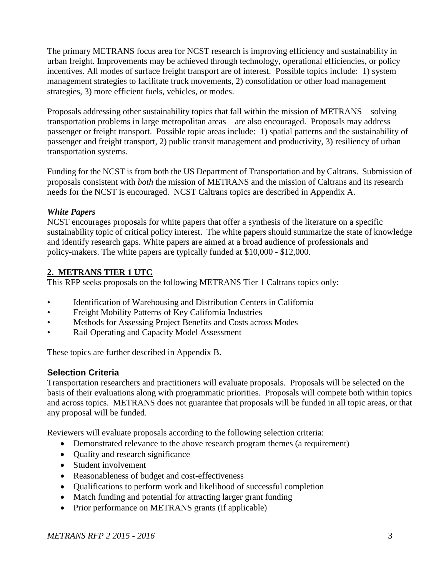The primary METRANS focus area for NCST research is improving efficiency and sustainability in urban freight. Improvements may be achieved through technology, operational efficiencies, or policy incentives. All modes of surface freight transport are of interest. Possible topics include: 1) system management strategies to facilitate truck movements, 2) consolidation or other load management strategies, 3) more efficient fuels, vehicles, or modes.

Proposals addressing other sustainability topics that fall within the mission of METRANS – solving transportation problems in large metropolitan areas – are also encouraged. Proposals may address passenger or freight transport. Possible topic areas include: 1) spatial patterns and the sustainability of passenger and freight transport, 2) public transit management and productivity, 3) resiliency of urban transportation systems.

Funding for the NCST is from both the US Department of Transportation and by Caltrans. Submission of proposals consistent with *both* the mission of METRANS and the mission of Caltrans and its research needs for the NCST is encouraged. NCST Caltrans topics are described in Appendix A.

#### *White Papers*

NCST encourages propo**s**als for white papers that offer a synthesis of the literature on a specific sustainability topic of critical policy interest. The white papers should summarize the state of knowledge and identify research gaps. White papers are aimed at a broad audience of professionals and policy-makers. The white papers are typically funded at \$10,000 - \$12,000.

#### **2. METRANS TIER 1 UTC**

This RFP seeks proposals on the following METRANS Tier 1 Caltrans topics only:

- Identification of Warehousing and Distribution Centers in California
- Freight Mobility Patterns of Key California Industries
- Methods for Assessing Project Benefits and Costs across Modes
- Rail Operating and Capacity Model Assessment

These topics are further described in Appendix B.

#### <span id="page-3-0"></span>**Selection Criteria**

Transportation researchers and practitioners will evaluate proposals. Proposals will be selected on the basis of their evaluations along with programmatic priorities. Proposals will compete both within topics and across topics. METRANS does not guarantee that proposals will be funded in all topic areas, or that any proposal will be funded.

Reviewers will evaluate proposals according to the following selection criteria:

- Demonstrated relevance to the above research program themes (a requirement)
- Quality and research significance
- Student involvement
- Reasonableness of budget and cost-effectiveness
- Oualifications to perform work and likelihood of successful completion
- Match funding and potential for attracting larger grant funding
- Prior performance on METRANS grants (if applicable)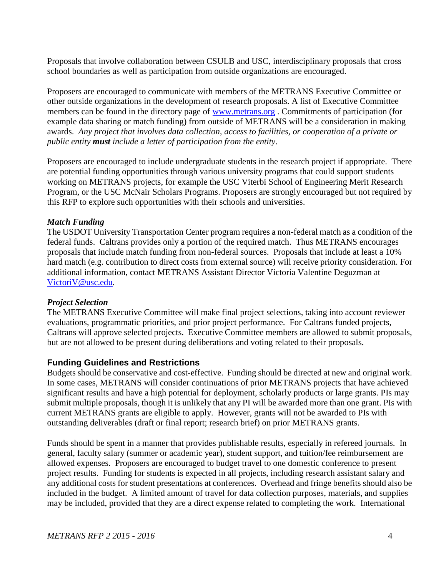Proposals that involve collaboration between CSULB and USC, interdisciplinary proposals that cross school boundaries as well as participation from outside organizations are encouraged.

Proposers are encouraged to communicate with members of the METRANS Executive Committee or other outside organizations in the development of research proposals. A list of Executive Committee members can be found in the directory page of [www.metrans.org](http://www.metrans.org/). Commitments of participation (for example data sharing or match funding) from outside of METRANS will be a consideration in making awards. *Any project that involves data collection, access to facilities, or cooperation of a private or public entity must include a letter of participation from the entity*.

Proposers are encouraged to include undergraduate students in the research project if appropriate. There are potential funding opportunities through various university programs that could support students working on METRANS projects, for example the USC Viterbi School of Engineering Merit Research Program, or the USC McNair Scholars Programs. Proposers are strongly encouraged but not required by this RFP to explore such opportunities with their schools and universities.

#### *Match Funding*

The USDOT University Transportation Center program requires a non-federal match as a condition of the federal funds. Caltrans provides only a portion of the required match. Thus METRANS encourages proposals that include match funding from non-federal sources. Proposals that include at least a 10% hard match (e.g. contribution to direct costs from external source) will receive priority consideration. For additional information, contact METRANS Assistant Director Victoria Valentine Deguzman at [VictoriV@usc.edu.](mailto:VictoriV@usc.edu)

#### *Project Selection*

The METRANS Executive Committee will make final project selections, taking into account reviewer evaluations, programmatic priorities, and prior project performance. For Caltrans funded projects, Caltrans will approve selected projects. Executive Committee members are allowed to submit proposals, but are not allowed to be present during deliberations and voting related to their proposals.

#### <span id="page-4-0"></span>**Funding Guidelines and Restrictions**

Budgets should be conservative and cost-effective. Funding should be directed at new and original work. In some cases, METRANS will consider continuations of prior METRANS projects that have achieved significant results and have a high potential for deployment, scholarly products or large grants. PIs may submit multiple proposals, though it is unlikely that any PI will be awarded more than one grant. PIs with current METRANS grants are eligible to apply. However, grants will not be awarded to PIs with outstanding deliverables (draft or final report; research brief) on prior METRANS grants.

Funds should be spent in a manner that provides publishable results, especially in refereed journals. In general, faculty salary (summer or academic year), student support, and tuition/fee reimbursement are allowed expenses. Proposers are encouraged to budget travel to one domestic conference to present project results. Funding for students is expected in all projects, including research assistant salary and any additional costs for student presentations at conferences. Overhead and fringe benefits should also be included in the budget. A limited amount of travel for data collection purposes, materials, and supplies may be included, provided that they are a direct expense related to completing the work. International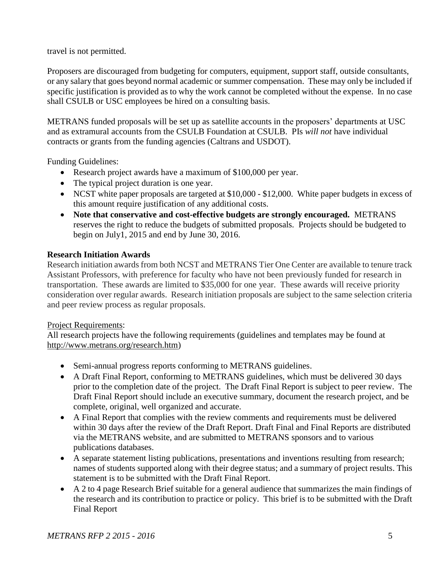travel is not permitted.

Proposers are discouraged from budgeting for computers, equipment, support staff, outside consultants, or any salary that goes beyond normal academic or summer compensation. These may only be included if specific justification is provided as to why the work cannot be completed without the expense. In no case shall CSULB or USC employees be hired on a consulting basis.

METRANS funded proposals will be set up as satellite accounts in the proposers' departments at USC and as extramural accounts from the CSULB Foundation at CSULB. PIs *will not* have individual contracts or grants from the funding agencies (Caltrans and USDOT).

Funding Guidelines:

- Research project awards have a maximum of \$100,000 per year.
- The typical project duration is one year.
- NCST white paper proposals are targeted at \$10,000 \$12,000. White paper budgets in excess of this amount require justification of any additional costs.
- **Note that conservative and cost-effective budgets are strongly encouraged.** METRANS reserves the right to reduce the budgets of submitted proposals. Projects should be budgeted to begin on July1, 2015 and end by June 30, 2016.

#### **Research Initiation Awards**

Research initiation awards from both NCST and METRANS Tier One Center are available to tenure track Assistant Professors, with preference for faculty who have not been previously funded for research in transportation. These awards are limited to \$35,000 for one year. These awards will receive priority consideration over regular awards. Research initiation proposals are subject to the same selection criteria and peer review process as regular proposals.

#### Project Requirements:

All research projects have the following requirements (guidelines and templates may be found at [http://www.metrans.org/research.htm\)](http://www.metrans.org/research.htm)

- Semi-annual progress reports conforming to METRANS guidelines.
- A Draft Final Report, conforming to METRANS guidelines, which must be delivered 30 days prior to the completion date of the project. The Draft Final Report is subject to peer review. The Draft Final Report should include an executive summary, document the research project, and be complete, original, well organized and accurate.
- A Final Report that complies with the review comments and requirements must be delivered within 30 days after the review of the Draft Report. Draft Final and Final Reports are distributed via the METRANS website, and are submitted to METRANS sponsors and to various publications databases.
- A separate statement listing publications, presentations and inventions resulting from research; names of students supported along with their degree status; and a summary of project results. This statement is to be submitted with the Draft Final Report.
- A 2 to 4 page Research Brief suitable for a general audience that summarizes the main findings of the research and its contribution to practice or policy. This brief is to be submitted with the Draft Final Report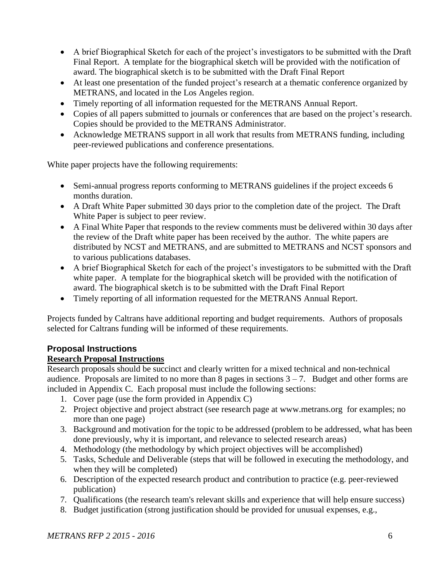- A brief Biographical Sketch for each of the project's investigators to be submitted with the Draft Final Report. A template for the biographical sketch will be provided with the notification of award. The biographical sketch is to be submitted with the Draft Final Report
- At least one presentation of the funded project's research at a thematic conference organized by METRANS, and located in the Los Angeles region.
- Timely reporting of all information requested for the METRANS Annual Report.
- Copies of all papers submitted to journals or conferences that are based on the project's research. Copies should be provided to the METRANS Administrator.
- Acknowledge METRANS support in all work that results from METRANS funding, including peer-reviewed publications and conference presentations.

White paper projects have the following requirements:

- Semi-annual progress reports conforming to METRANS guidelines if the project exceeds 6 months duration.
- A Draft White Paper submitted 30 days prior to the completion date of the project. The Draft White Paper is subject to peer review.
- A Final White Paper that responds to the review comments must be delivered within 30 days after the review of the Draft white paper has been received by the author. The white papers are distributed by NCST and METRANS, and are submitted to METRANS and NCST sponsors and to various publications databases.
- A brief Biographical Sketch for each of the project's investigators to be submitted with the Draft white paper. A template for the biographical sketch will be provided with the notification of award. The biographical sketch is to be submitted with the Draft Final Report
- Timely reporting of all information requested for the METRANS Annual Report.

Projects funded by Caltrans have additional reporting and budget requirements. Authors of proposals selected for Caltrans funding will be informed of these requirements.

### <span id="page-6-0"></span>**Proposal Instructions**

### <span id="page-6-1"></span>**Research Proposal Instructions**

Research proposals should be succinct and clearly written for a mixed technical and non-technical audience. Proposals are limited to no more than 8 pages in sections  $3 - 7$ . Budget and other forms are included in Appendix C. Each proposal must include the following sections:

- 1. Cover page (use the form provided in Appendix C)
- 2. Project objective and project abstract (see research page at [www.metrans.org](http://www.metrans.org/) for examples; no more than one page)
- 3. Background and motivation for the topic to be addressed (problem to be addressed, what has been done previously, why it is important, and relevance to selected research areas)
- 4. Methodology (the methodology by which project objectives will be accomplished)
- 5. Tasks, Schedule and Deliverable (steps that will be followed in executing the methodology, and when they will be completed)
- 6. Description of the expected research product and contribution to practice (e.g. peer-reviewed publication)
- 7. Qualifications (the research team's relevant skills and experience that will help ensure success)
- 8. Budget justification (strong justification should be provided for unusual expenses, e.g.,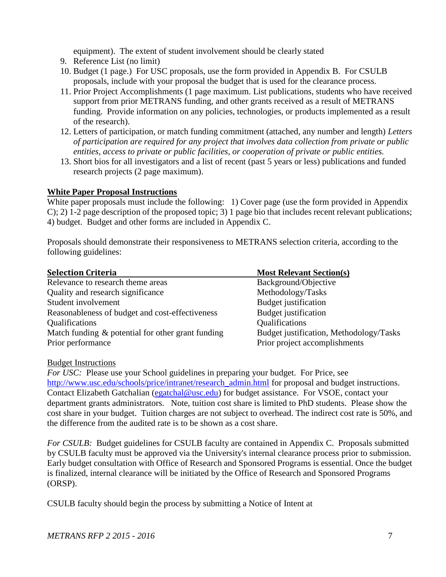equipment). The extent of student involvement should be clearly stated

- 9. Reference List (no limit)
- 10. Budget (1 page.) For USC proposals, use the form provided in Appendix B. For CSULB proposals, include with your proposal the budget that is used for the clearance process.
- 11. Prior Project Accomplishments (1 page maximum. List publications, students who have received support from prior METRANS funding, and other grants received as a result of METRANS funding. Provide information on any policies, technologies, or products implemented as a result of the research).
- 12. Letters of participation, or match funding commitment (attached, any number and length) *Letters of participation are required for any project that involves data collection from private or public entities, access to private or public facilities, or cooperation of private or public entities.*
- 13. Short bios for all investigators and a list of recent (past 5 years or less) publications and funded research projects (2 page maximum).

#### **White Paper Proposal Instructions**

White paper proposals must include the following: 1) Cover page (use the form provided in Appendix C); 2) 1-2 page description of the proposed topic; 3) 1 page bio that includes recent relevant publications; 4) budget. Budget and other forms are included in Appendix C.

Proposals should demonstrate their responsiveness to METRANS selection criteria, according to the following guidelines:

<span id="page-7-0"></span>

| <b>Selection Criteria</b>                            | <b>Most Relevant Section(s)</b>         |
|------------------------------------------------------|-----------------------------------------|
| Relevance to research theme areas                    | Background/Objective                    |
| Quality and research significance                    | Methodology/Tasks                       |
| Student involvement                                  | Budget justification                    |
| Reasonableness of budget and cost-effectiveness      | Budget justification                    |
| <b>Qualifications</b>                                | Qualifications                          |
| Match funding $\&$ potential for other grant funding | Budget justification, Methodology/Tasks |
| Prior performance                                    | Prior project accomplishments           |

#### <span id="page-7-1"></span>Budget Instructions

*For USC:* Please use your School guidelines in preparing your budget. For Price, see [http://www.usc.edu/schools/price/intranet/research\\_admin.html](http://www.usc.edu/schools/price/intranet/research_admin.html) for proposal and budget instructions. Contact Elizabeth Gatchalian [\(egatchal@usc.edu\)](mailto:egatchal@usc.edu) for budget assistance. For VSOE, contact your department grants administrators. Note, tuition cost share is limited to PhD students. Please show the cost share in your budget. Tuition charges are not subject to overhead. The indirect cost rate is 50%, and the difference from the audited rate is to be shown as a cost share.

*For CSULB:* Budget guidelines for CSULB faculty are contained in Appendix C. Proposals submitted by CSULB faculty must be approved via the University's internal clearance process prior to submission. Early budget consultation with Office of Research and Sponsored Programs is essential. Once the budget is finalized, internal clearance will be initiated by the Office of Research and Sponsored Programs (ORSP).

CSULB faculty should begin the process by submitting a Notice of Intent at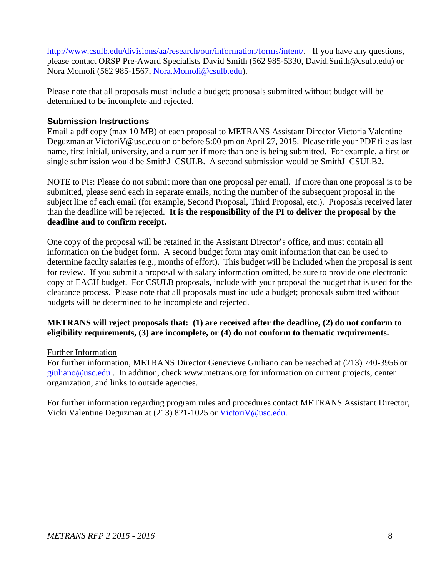[http://www.csulb.edu/divisions/aa/research/our/information/forms/intent/.](http://www.csulb.edu/divisions/aa/research/our/information/forms/intent/) If you have any questions, please contact ORSP Pre-Award Specialists David Smith (562 985-5330, David.Smith@csulb.edu) or Nora Momoli (562 985-1567, [Nora.Momoli@csulb.edu\)](mailto:Nora.Momoli@csulb.edu).

Please note that all proposals must include a budget; proposals submitted without budget will be determined to be incomplete and rejected.

#### <span id="page-8-0"></span>**Submission Instructions**

Email a pdf copy (max 10 MB) of each proposal to METRANS Assistant Director Victoria Valentine Deguzman at VictoriV@usc.edu on or before 5:00 pm on April 27, 2015. Please title your PDF file as last name, first initial, university, and a number if more than one is being submitted. For example, a first or single submission would be SmithJ\_CSULB. A second submission would be SmithJ\_CSULB2**.** 

NOTE to PIs: Please do not submit more than one proposal per email. If more than one proposal is to be submitted, please send each in separate emails, noting the number of the subsequent proposal in the subiect line of each email (for example, Second Proposal, Third Proposal, etc.). Proposals received later than the deadline will be rejected. **It is the responsibility of the PI to deliver the proposal by the deadline and to confirm receipt.** 

One copy of the proposal will be retained in the Assistant Director's office, and must contain all information on the budget form. A second budget form may omit information that can be used to determine faculty salaries (e.g., months of effort). This budget will be included when the proposal is sent for review. If you submit a proposal with salary information omitted, be sure to provide one electronic copy of EACH budget. For CSULB proposals, include with your proposal the budget that is used for the clearance process. Please note that all proposals must include a budget; proposals submitted without budgets will be determined to be incomplete and rejected.

#### **METRANS will reject proposals that: (1) are received after the deadline, (2) do not conform to eligibility requirements, (3) are incomplete, or (4) do not conform to thematic requirements.**

#### <span id="page-8-1"></span>Further Information

For further information, METRANS Director Genevieve Giuliano can be reached at (213) 740-3956 or [giuliano@usc.edu](mailto:giuliano@usc.edu) . In addition, check [www.metrans.org](http://www.metrans.org/) for information on current projects, center organization, and links to outside agencies.

For further information regarding program rules and procedures contact METRANS Assistant Director, Vicki Valentine Deguzman at (213) 821-1025 or [VictoriV@usc.edu.](mailto:VictoriV@usc.edu)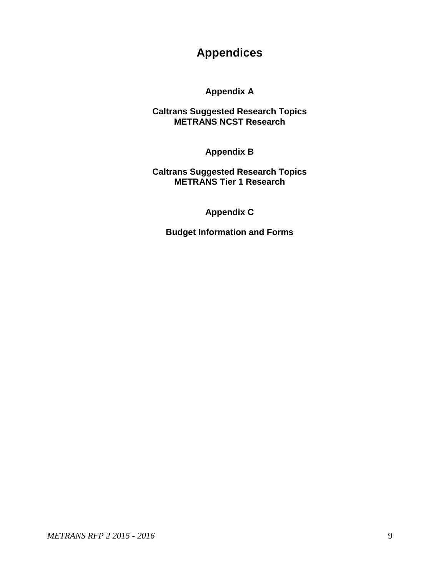# **Appendices**

**Appendix A**

**Caltrans Suggested Research Topics METRANS NCST Research**

**Appendix B**

**Caltrans Suggested Research Topics METRANS Tier 1 Research**

**Appendix C**

**Budget Information and Forms**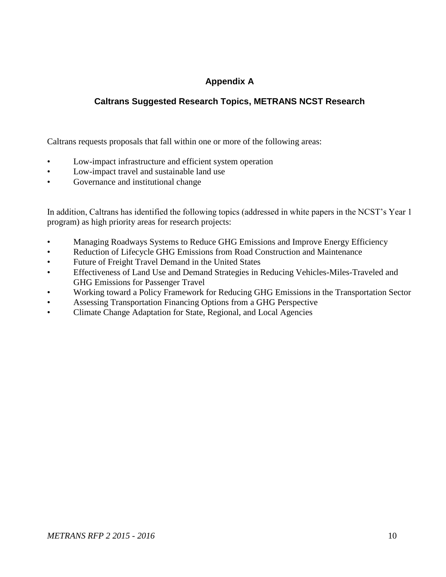## **Appendix A**

### **Caltrans Suggested Research Topics, METRANS NCST Research**

<span id="page-10-0"></span>Caltrans requests proposals that fall within one or more of the following areas:

- Low-impact infrastructure and efficient system operation
- Low-impact travel and sustainable land use
- Governance and institutional change

In addition, Caltrans has identified the following topics (addressed in white papers in the NCST's Year 1 program) as high priority areas for research projects:

- Managing Roadways Systems to Reduce GHG Emissions and Improve Energy Efficiency
- Reduction of Lifecycle GHG Emissions from Road Construction and Maintenance
- Future of Freight Travel Demand in the United States
- Effectiveness of Land Use and Demand Strategies in Reducing Vehicles-Miles-Traveled and GHG Emissions for Passenger Travel
- Working toward a Policy Framework for Reducing GHG Emissions in the Transportation Sector
- Assessing Transportation Financing Options from a GHG Perspective
- Climate Change Adaptation for State, Regional, and Local Agencies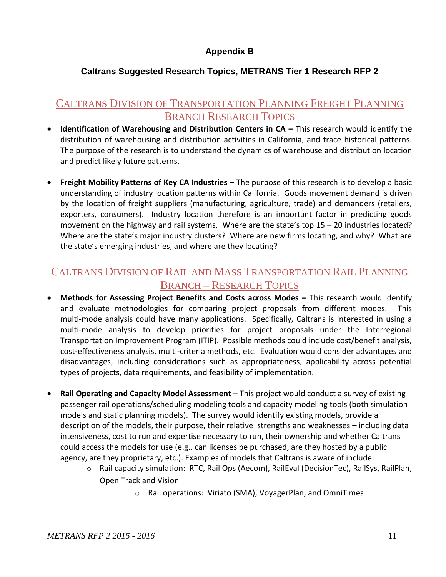## **Appendix B**

## **Caltrans Suggested Research Topics, METRANS Tier 1 Research RFP 2**

## <span id="page-11-0"></span>CALTRANS DIVISION OF TRANSPORTATION PLANNING FREIGHT PLANNING BRANCH RESEARCH TOPICS

- **•** Identification of Warehousing and Distribution Centers in CA This research would identify the distribution of warehousing and distribution activities in California, and trace historical patterns. The purpose of the research is to understand the dynamics of warehouse and distribution location and predict likely future patterns.
- **Freight Mobility Patterns of Key CA Industries –** The purpose of this research is to develop a basic understanding of industry location patterns within California. Goods movement demand is driven by the location of freight suppliers (manufacturing, agriculture, trade) and demanders (retailers, exporters, consumers). Industry location therefore is an important factor in predicting goods movement on the highway and rail systems. Where are the state's top 15 – 20 industries located? Where are the state's major industry clusters? Where are new firms locating, and why? What are the state's emerging industries, and where are they locating?

## CALTRANS DIVISION OF RAIL AND MASS TRANSPORTATION RAIL PLANNING BRANCH – RESEARCH TOPICS

- **Methods for Assessing Project Benefits and Costs across Modes –** This research would identify and evaluate methodologies for comparing project proposals from different modes. This multi-mode analysis could have many applications. Specifically, Caltrans is interested in using a multi-mode analysis to develop priorities for project proposals under the Interregional Transportation Improvement Program (ITIP). Possible methods could include cost/benefit analysis, cost-effectiveness analysis, multi-criteria methods, etc. Evaluation would consider advantages and disadvantages, including considerations such as appropriateness, applicability across potential types of projects, data requirements, and feasibility of implementation.
- **Rail Operating and Capacity Model Assessment This project would conduct a survey of existing** passenger rail operations/scheduling modeling tools and capacity modeling tools (both simulation models and static planning models). The survey would identify existing models, provide a description of the models, their purpose, their relative strengths and weaknesses – including data intensiveness, cost to run and expertise necessary to run, their ownership and whether Caltrans could access the models for use (e.g., can licenses be purchased, are they hosted by a public agency, are they proprietary, etc.). Examples of models that Caltrans is aware of include:
	- o Rail capacity simulation: RTC, Rail Ops (Aecom), RailEval (DecisionTec), RailSys, RailPlan, Open Track and Vision
		- o Rail operations: Viriato (SMA), VoyagerPlan, and OmniTimes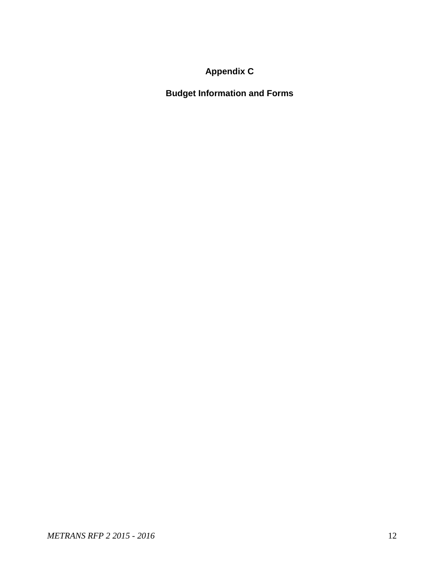# **Appendix C**

<span id="page-12-0"></span>**Budget Information and Forms**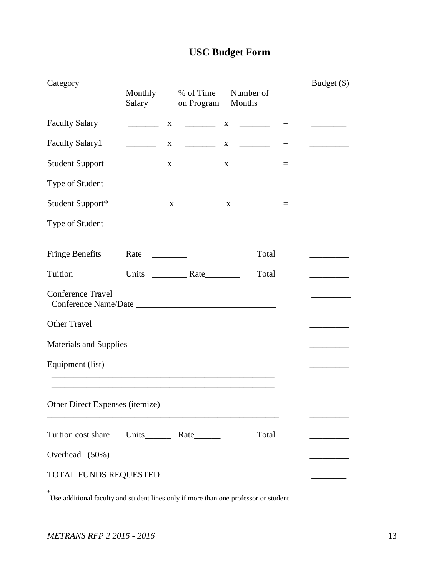# **USC Budget Form**

| Category                        | Monthly<br>Salary        | % of Time<br>on Program                                                                                                | Number of<br>Months |          | Budget (\$)                                                                        |
|---------------------------------|--------------------------|------------------------------------------------------------------------------------------------------------------------|---------------------|----------|------------------------------------------------------------------------------------|
| <b>Faculty Salary</b>           | X                        |                                                                                                                        | $X \sim$            | $\equiv$ | $\overline{\phantom{a}}$ and $\overline{\phantom{a}}$ and $\overline{\phantom{a}}$ |
| <b>Faculty Salary1</b>          | $\overline{\phantom{a}}$ | $\mathbf{X}$                                                                                                           |                     | $\equiv$ | $\overline{\phantom{a}}$                                                           |
| <b>Student Support</b>          |                          | $X \t  X \t  X \t  X$                                                                                                  |                     | $=$      |                                                                                    |
| Type of Student                 |                          | <u> 1989 - Johann John Stone, mars et al. 1989 - John Stone, mars et al. 1989 - John Stone, mars et al. 1989 - Joh</u> |                     |          |                                                                                    |
| Student Support*                |                          |                                                                                                                        |                     |          |                                                                                    |
| Type of Student                 |                          |                                                                                                                        |                     |          |                                                                                    |
| <b>Fringe Benefits</b>          | Rate                     |                                                                                                                        | Total               |          |                                                                                    |
| Tuition                         |                          |                                                                                                                        | Total               |          |                                                                                    |
| <b>Conference Travel</b>        |                          |                                                                                                                        |                     |          |                                                                                    |
| <b>Other Travel</b>             |                          |                                                                                                                        |                     |          |                                                                                    |
| <b>Materials and Supplies</b>   |                          |                                                                                                                        |                     |          |                                                                                    |
| Equipment (list)                |                          |                                                                                                                        |                     |          |                                                                                    |
| Other Direct Expenses (itemize) |                          |                                                                                                                        |                     |          |                                                                                    |
| Tuition cost share              | Units Rate               |                                                                                                                        | Total               |          |                                                                                    |
| Overhead (50%)                  |                          |                                                                                                                        |                     |          |                                                                                    |
| TOTAL FUNDS REQUESTED           |                          |                                                                                                                        |                     |          |                                                                                    |

\* Use additional faculty and student lines only if more than one professor or student.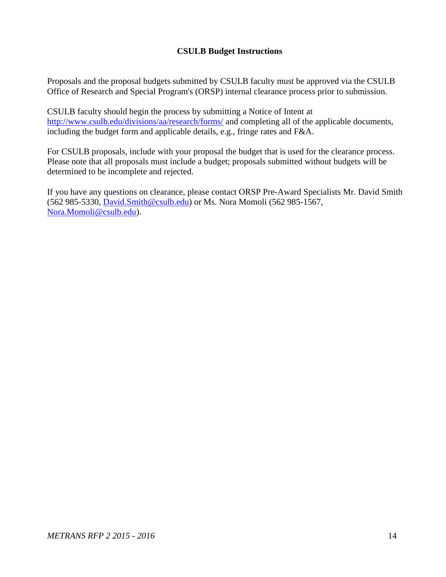#### **CSULB Budget Instructions**

Proposals and the proposal budgets submitted by CSULB faculty must be approved via the CSULB Office of Research and Special Program's (ORSP) internal clearance process prior to submission.

CSULB faculty should begin the process by submitting a Notice of Intent at <http://www.csulb.edu/divisions/aa/research/forms/> and completing all of the applicable documents, including the budget form and applicable details, e.g., fringe rates and F&A.

For CSULB proposals, include with your proposal the budget that is used for the clearance process. Please note that all proposals must include a budget; proposals submitted without budgets will be determined to be incomplete and rejected.

If you have any questions on clearance, please contact ORSP Pre-Award Specialists Mr. David Smith (562 985-5330, [David.Smith@csulb.edu\)](mailto:David.Smith@csulb.edu) or Ms. Nora Momoli (562 985-1567, [Nora.Momoli@csulb.edu\)](mailto:Nora.Momoli@csulb.edu).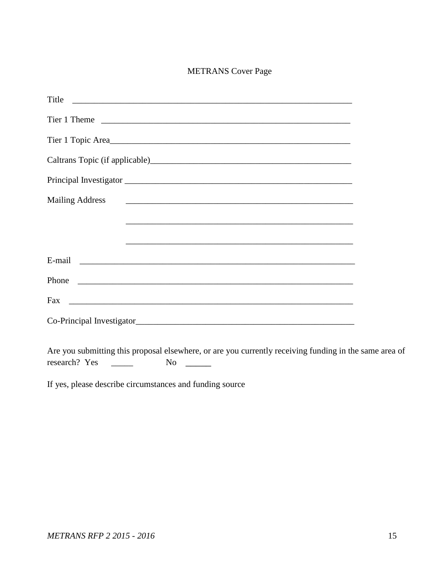#### METRANS Cover Page

| Title                     |
|---------------------------|
|                           |
| Tier 1 Topic Area         |
|                           |
|                           |
| <b>Mailing Address</b>    |
|                           |
|                           |
|                           |
|                           |
|                           |
| Co-Principal Investigator |
|                           |

Are you submitting this proposal elsewhere, or are you currently receiving funding in the same area of research? Yes \_\_\_\_\_\_ No \_\_\_\_\_

If yes, please describe circumstances and funding source